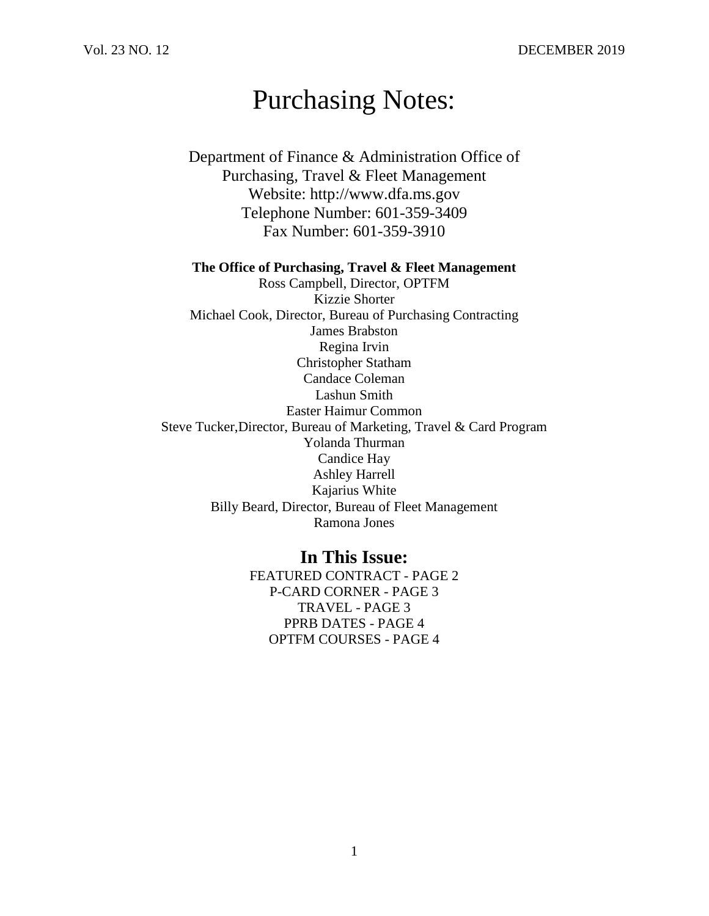# Purchasing Notes:

- Department of Finance & Administration Office of Purchasing, Travel & Fleet Management Website: http://www.dfa.ms.gov Telephone Number: 601-359-3409 Fax Number: 601-359-3910
- **The Office of Purchasing, Travel & Fleet Management** Ross Campbell, Director, OPTFM Kizzie Shorter Michael Cook, Director, Bureau of Purchasing Contracting James Brabston Regina Irvin Christopher Statham Candace Coleman Lashun Smith Easter Haimur Common Steve Tucker,Director, Bureau of Marketing, Travel & Card Program Yolanda Thurman Candice Hay Ashley Harrell Kajarius White Billy Beard, Director, Bureau of Fleet Management Ramona Jones

**In This Issue:** FEATURED CONTRACT - PAGE 2 P-CARD CORNER - PAGE 3 TRAVEL - PAGE 3 PPRB DATES - PAGE 4 OPTFM COURSES - PAGE 4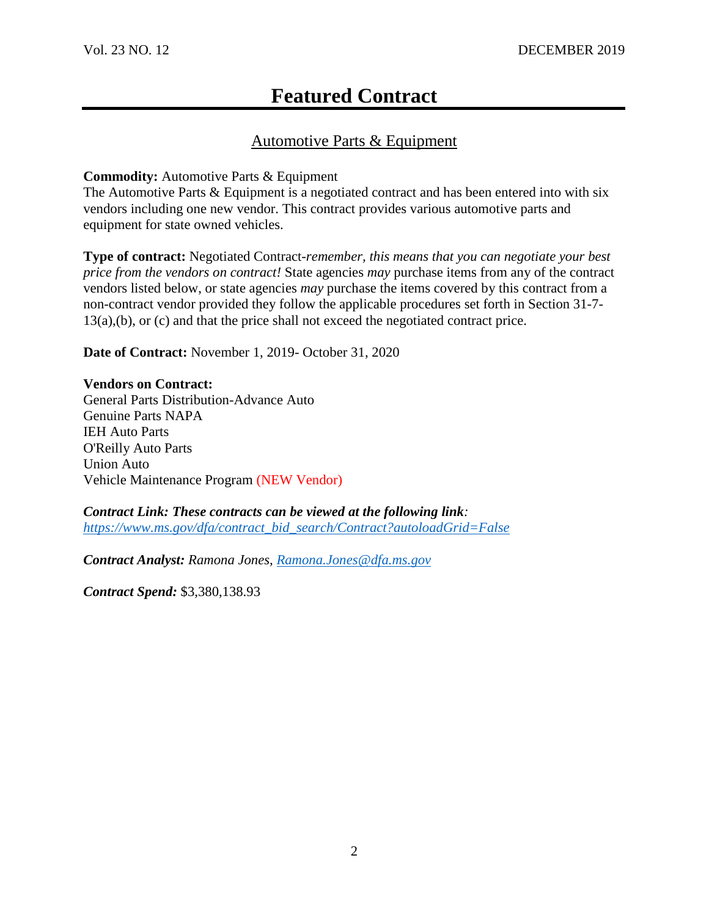## **Featured Contract**

### Automotive Parts & Equipment

#### **Commodity:** Automotive Parts & Equipment

The Automotive Parts & Equipment is a negotiated contract and has been entered into with six vendors including one new vendor. This contract provides various automotive parts and equipment for state owned vehicles.

**Type of contract:** Negotiated Contract-*remember, this means that you can negotiate your best price from the vendors on contract!* State agencies *may* purchase items from any of the contract vendors listed below, or state agencies *may* purchase the items covered by this contract from a non-contract vendor provided they follow the applicable procedures set forth in Section 31-7- 13(a),(b), or (c) and that the price shall not exceed the negotiated contract price.

**Date of Contract:** November 1, 2019- October 31, 2020

#### **Vendors on Contract:**

General Parts Distribution-Advance Auto Genuine Parts NAPA IEH Auto Parts O'Reilly Auto Parts Union Auto Vehicle Maintenance Program (NEW Vendor)

*Contract Link: These contracts can be viewed at the following link: [https://www.ms.gov/dfa/contract\\_bid\\_search/Contract?autoloadGrid=False](https://www.ms.gov/dfa/contract_bid_search/Contract?autoloadGrid=False)*

*Contract Analyst: Ramona Jones, [Ramona.Jones@dfa.ms.gov](mailto:Ramona.Jones@dfa.ms.gov)*

*Contract Spend:* \$3,380,138.93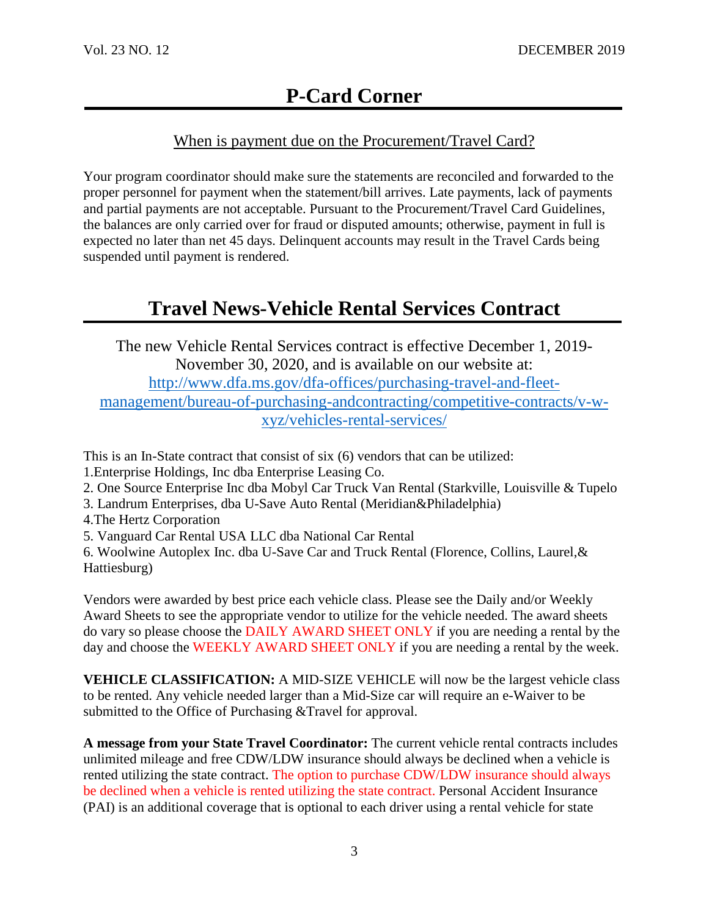### When is payment due on the Procurement/Travel Card?

Your program coordinator should make sure the statements are reconciled and forwarded to the proper personnel for payment when the statement/bill arrives. Late payments, lack of payments and partial payments are not acceptable. Pursuant to the Procurement/Travel Card Guidelines, the balances are only carried over for fraud or disputed amounts; otherwise, payment in full is expected no later than net 45 days. Delinquent accounts may result in the Travel Cards being suspended until payment is rendered.

## **Travel News-Vehicle Rental Services Contract**

The new Vehicle Rental Services contract is effective December 1, 2019- November 30, 2020, and is available on our website at: [http://www.dfa.ms.gov/dfa-offices/purchasing-travel-and-fleet](http://www.dfa.ms.gov/dfa-offices/purchasing-travel-and-fleet-management/bureau-of-purchasing-andcontracting/competitive-contracts/v-w-xyz/vehicles-rental-services/)[management/bureau-of-purchasing-andcontracting/competitive-contracts/v-w](http://www.dfa.ms.gov/dfa-offices/purchasing-travel-and-fleet-management/bureau-of-purchasing-andcontracting/competitive-contracts/v-w-xyz/vehicles-rental-services/)[xyz/vehicles-rental-services/](http://www.dfa.ms.gov/dfa-offices/purchasing-travel-and-fleet-management/bureau-of-purchasing-andcontracting/competitive-contracts/v-w-xyz/vehicles-rental-services/)

This is an In-State contract that consist of six (6) vendors that can be utilized: 1.Enterprise Holdings, Inc dba Enterprise Leasing Co.

- 2. One Source Enterprise Inc dba Mobyl Car Truck Van Rental (Starkville, Louisville & Tupelo
- 3. Landrum Enterprises, dba U-Save Auto Rental (Meridian&Philadelphia)
- 4.The Hertz Corporation
- 5. Vanguard Car Rental USA LLC dba National Car Rental

6. Woolwine Autoplex Inc. dba U-Save Car and Truck Rental (Florence, Collins, Laurel,& Hattiesburg)

Vendors were awarded by best price each vehicle class. Please see the Daily and/or Weekly Award Sheets to see the appropriate vendor to utilize for the vehicle needed. The award sheets do vary so please choose the DAILY AWARD SHEET ONLY if you are needing a rental by the day and choose the WEEKLY AWARD SHEET ONLY if you are needing a rental by the week.

**VEHICLE CLASSIFICATION:** A MID-SIZE VEHICLE will now be the largest vehicle class to be rented. Any vehicle needed larger than a Mid-Size car will require an e-Waiver to be submitted to the Office of Purchasing &Travel for approval.

**A message from your State Travel Coordinator:** The current vehicle rental contracts includes unlimited mileage and free CDW/LDW insurance should always be declined when a vehicle is rented utilizing the state contract. The option to purchase CDW/LDW insurance should always be declined when a vehicle is rented utilizing the state contract. Personal Accident Insurance (PAI) is an additional coverage that is optional to each driver using a rental vehicle for state